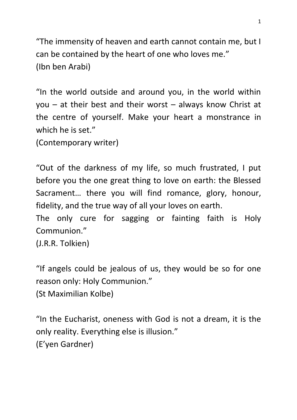"The immensity of heaven and earth cannot contain me, but I can be contained by the heart of one who loves me." (Ibn ben Arabi)

"In the world outside and around you, in the world within you – at their best and their worst – always know Christ at the centre of yourself. Make your heart a monstrance in which he is set."

(Contemporary writer)

"Out of the darkness of my life, so much frustrated, I put before you the one great thing to love on earth: the Blessed Sacrament… there you will find romance, glory, honour, fidelity, and the true way of all your loves on earth.

The only cure for sagging or fainting faith is Holy Communion."

(J.R.R. Tolkien)

"If angels could be jealous of us, they would be so for one reason only: Holy Communion."

```
(St Maximilian Kolbe)
```
"In the Eucharist, oneness with God is not a dream, it is the only reality. Everything else is illusion." (E'yen Gardner)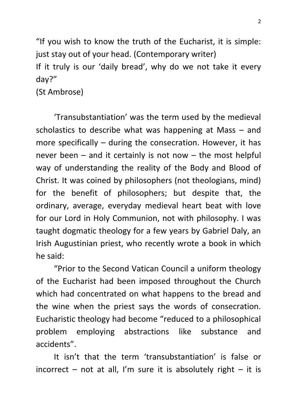"If you wish to know the truth of the Eucharist, it is simple: just stay out of your head. (Contemporary writer) If it truly is our 'daily bread', why do we not take it every day?"

(St Ambrose)

'Transubstantiation' was the term used by the medieval scholastics to describe what was happening at Mass – and more specifically – during the consecration. However, it has never been  $-$  and it certainly is not now  $-$  the most helpful way of understanding the reality of the Body and Blood of Christ. It was coined by philosophers (not theologians, mind) for the benefit of philosophers; but despite that, the ordinary, average, everyday medieval heart beat with love for our Lord in Holy Communion, not with philosophy. I was taught dogmatic theology for a few years by Gabriel Daly, an Irish Augustinian priest, who recently wrote a book in which he said:

"Prior to the Second Vatican Council a uniform theology of the Eucharist had been imposed throughout the Church which had concentrated on what happens to the bread and the wine when the priest says the words of consecration. Eucharistic theology had become "reduced to a philosophical problem employing abstractions like substance and accidents".

It isn't that the term 'transubstantiation' is false or incorrect – not at all, I'm sure it is absolutely right – it is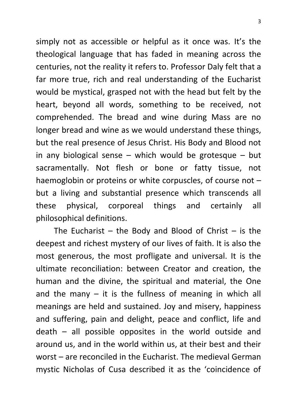simply not as accessible or helpful as it once was. It's the theological language that has faded in meaning across the centuries, not the reality it refers to. Professor Daly felt that a far more true, rich and real understanding of the Eucharist would be mystical, grasped not with the head but felt by the heart, beyond all words, something to be received, not comprehended. The bread and wine during Mass are no longer bread and wine as we would understand these things, but the real presence of Jesus Christ. His Body and Blood not in any biological sense – which would be grotesque – but sacramentally. Not flesh or bone or fatty tissue, not haemoglobin or proteins or white corpuscles, of course not but a living and substantial presence which transcends all these physical, corporeal things and certainly all philosophical definitions.

The Eucharist – the Body and Blood of Christ – is the deepest and richest mystery of our lives of faith. It is also the most generous, the most profligate and universal. It is the ultimate reconciliation: between Creator and creation, the human and the divine, the spiritual and material, the One and the many  $-$  it is the fullness of meaning in which all meanings are held and sustained. Joy and misery, happiness and suffering, pain and delight, peace and conflict, life and death – all possible opposites in the world outside and around us, and in the world within us, at their best and their worst – are reconciled in the Eucharist. The medieval German mystic Nicholas of Cusa described it as the 'coincidence of